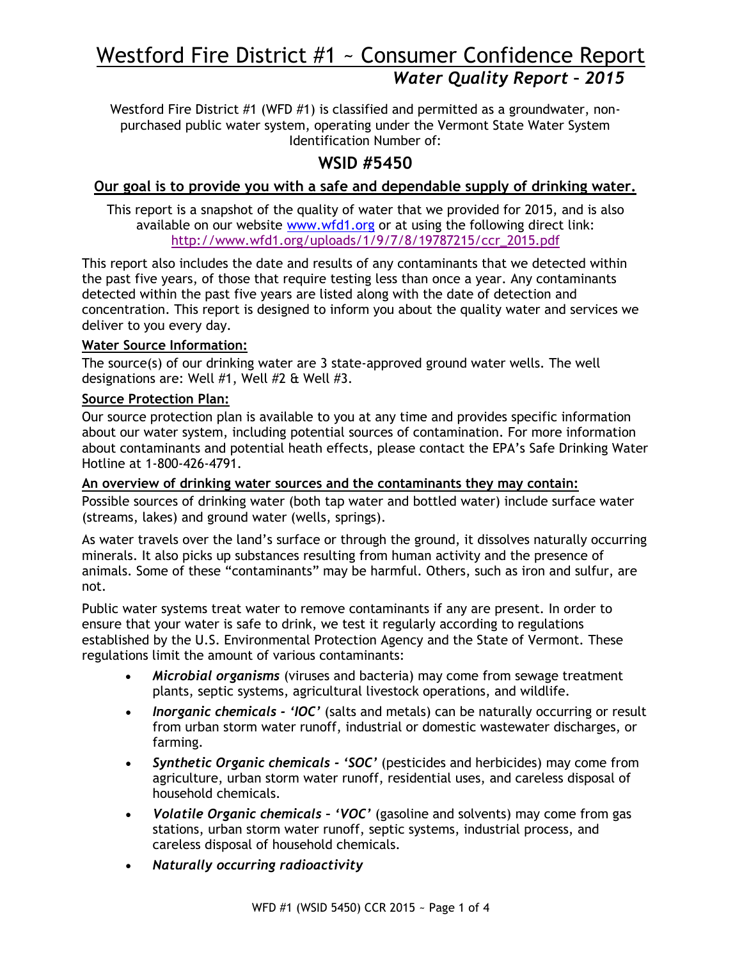# Westford Fire District #1 ~ Consumer Confidence Report *Water Quality Report – 2015*

Westford Fire District #1 (WFD #1) is classified and permitted as a groundwater, nonpurchased public water system, operating under the Vermont State Water System Identification Number of:

## **WSID #5450**

#### **Our goal is to provide you with a safe and dependable supply of drinking water.**

This report is a snapshot of the quality of water that we provided for 2015, and is also available on our website [www.wfd1.org](http://www.wfd1.org/) or at using the following direct link: [http://www.wfd1.org/uploads/1/9/7/8/19787215/ccr\\_2015.pdf](http://www.wfd1.org/uploads/1/9/7/8/19787215/ccr_2015.pdf)

This report also includes the date and results of any contaminants that we detected within the past five years, of those that require testing less than once a year. Any contaminants detected within the past five years are listed along with the date of detection and concentration. This report is designed to inform you about the quality water and services we deliver to you every day.

#### **Water Source Information:**

The source(s) of our drinking water are 3 state-approved ground water wells. The well designations are: Well #1, Well #2 & Well #3.

#### **Source Protection Plan:**

Our source protection plan is available to you at any time and provides specific information about our water system, including potential sources of contamination. For more information about contaminants and potential heath effects, please contact the EPA's Safe Drinking Water Hotline at 1-800-426-4791.

#### **An overview of drinking water sources and the contaminants they may contain:**

Possible sources of drinking water (both tap water and bottled water) include surface water (streams, lakes) and ground water (wells, springs).

As water travels over the land's surface or through the ground, it dissolves naturally occurring minerals. It also picks up substances resulting from human activity and the presence of animals. Some of these "contaminants" may be harmful. Others, such as iron and sulfur, are not.

Public water systems treat water to remove contaminants if any are present. In order to ensure that your water is safe to drink, we test it regularly according to regulations established by the U.S. Environmental Protection Agency and the State of Vermont. These regulations limit the amount of various contaminants:

- *Microbial organisms* (viruses and bacteria) may come from sewage treatment plants, septic systems, agricultural livestock operations, and wildlife.
- *Inorganic chemicals - 'IOC'* (salts and metals) can be naturally occurring or result from urban storm water runoff, industrial or domestic wastewater discharges, or farming.
- *Synthetic Organic chemicals - 'SOC'* (pesticides and herbicides) may come from agriculture, urban storm water runoff, residential uses, and careless disposal of household chemicals.
- *Volatile Organic chemicals – 'VOC'* (gasoline and solvents) may come from gas stations, urban storm water runoff, septic systems, industrial process, and careless disposal of household chemicals.
- *Naturally occurring radioactivity*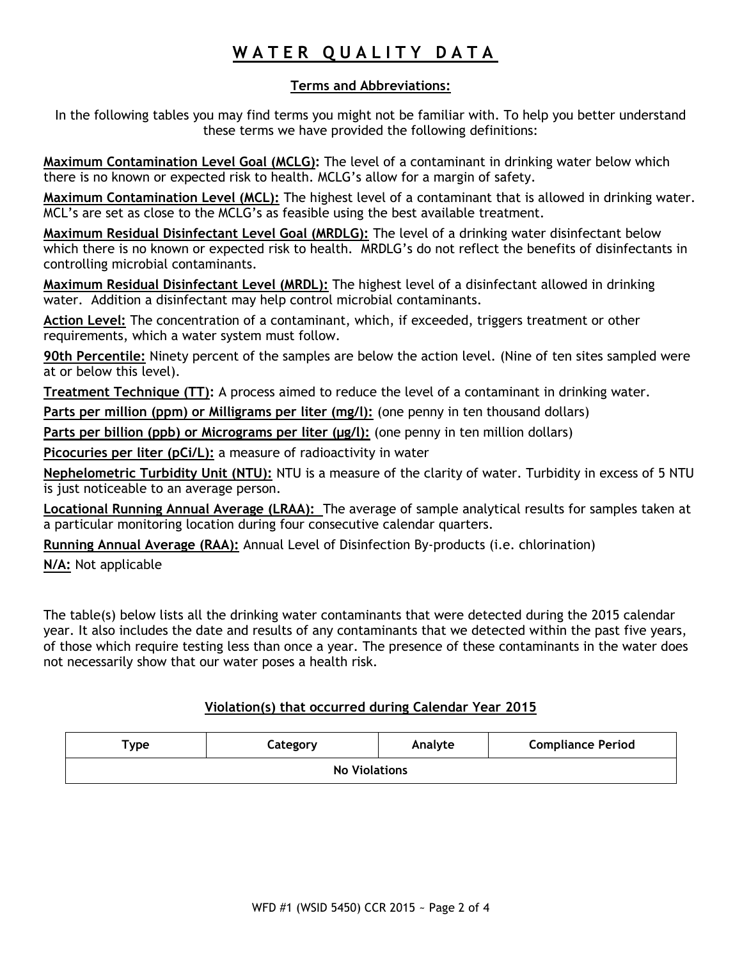## **W A T E R Q U A L I T Y D A T A**

#### **Terms and Abbreviations:**

In the following tables you may find terms you might not be familiar with. To help you better understand these terms we have provided the following definitions:

**Maximum Contamination Level Goal (MCLG):** The level of a contaminant in drinking water below which there is no known or expected risk to health. MCLG's allow for a margin of safety.

**Maximum Contamination Level (MCL):** The highest level of a contaminant that is allowed in drinking water. MCL's are set as close to the MCLG's as feasible using the best available treatment.

**Maximum Residual Disinfectant Level Goal (MRDLG):** The level of a drinking water disinfectant below which there is no known or expected risk to health. MRDLG's do not reflect the benefits of disinfectants in controlling microbial contaminants.

**Maximum Residual Disinfectant Level (MRDL):** The highest level of a disinfectant allowed in drinking water. Addition a disinfectant may help control microbial contaminants.

**Action Level:** The concentration of a contaminant, which, if exceeded, triggers treatment or other requirements, which a water system must follow.

**90th Percentile:** Ninety percent of the samples are below the action level. (Nine of ten sites sampled were at or below this level).

**Treatment Technique (TT):** A process aimed to reduce the level of a contaminant in drinking water.

**Parts per million (ppm) or Milligrams per liter (mg/l):** (one penny in ten thousand dollars)

Parts per billion (ppb) or Micrograms per liter (µg/l): (one penny in ten million dollars)

**Picocuries per liter (pCi/L):** a measure of radioactivity in water

**Nephelometric Turbidity Unit (NTU):** NTU is a measure of the clarity of water. Turbidity in excess of 5 NTU is just noticeable to an average person.

**Locational Running Annual Average (LRAA):** The average of sample analytical results for samples taken at a particular monitoring location during four consecutive calendar quarters.

**Running Annual Average (RAA):** Annual Level of Disinfection By-products (i.e. chlorination)

**N/A:** Not applicable

The table(s) below lists all the drinking water contaminants that were detected during the 2015 calendar year. It also includes the date and results of any contaminants that we detected within the past five years, of those which require testing less than once a year. The presence of these contaminants in the water does not necessarily show that our water poses a health risk.

#### **Violation(s) that occurred during Calendar Year 2015**

| $\mathsf{Type}$      | Category | Analyte | <b>Compliance Period</b> |  |  |  |  |
|----------------------|----------|---------|--------------------------|--|--|--|--|
| <b>No Violations</b> |          |         |                          |  |  |  |  |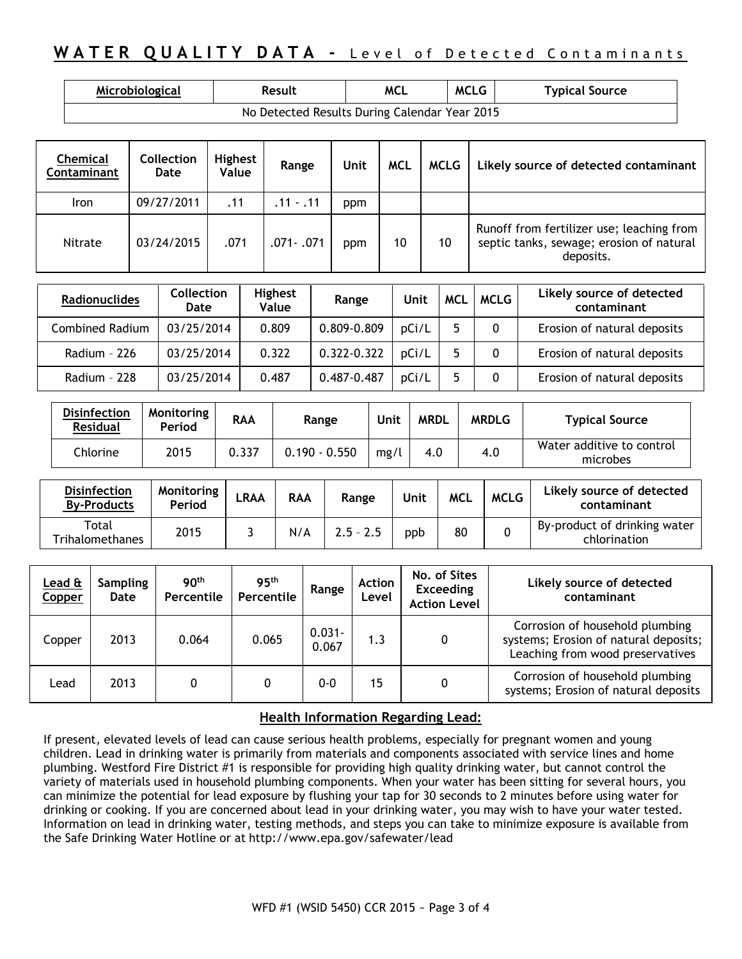## **WATER QUALITY DATA -** Level of Detected Contaminants

| Microbiological                               | Result | <b>MCL</b> | <b>MCLG</b> | <b>Typical Source</b> |  |  |  |
|-----------------------------------------------|--------|------------|-------------|-----------------------|--|--|--|
| No Detected Results During Calendar Year 2015 |        |            |             |                       |  |  |  |

| Chemical<br>Contaminant | <b>Collection</b><br>Date | <b>Highest</b><br>Value | Range       | Unit | <b>MCL</b> | MCLG | Likely source of detected contaminant                                                              |
|-------------------------|---------------------------|-------------------------|-------------|------|------------|------|----------------------------------------------------------------------------------------------------|
| <b>Iron</b>             | 09/27/2011                | .11                     | $.11 - .11$ | ppm  |            |      |                                                                                                    |
| Nitrate                 | 03/24/2015                | .071                    | .071 - .071 | ppm  | 10         | 10   | Runoff from fertilizer use; leaching from<br>septic tanks, sewage; erosion of natural<br>deposits. |

| <b>Radionuclides</b> | <b>Collection</b><br>Date | <b>Highest</b><br><b>Value</b> | Range       | Unit  | <b>MCL</b> | <b>MCLG</b> | Likely source of detected<br>contaminant |
|----------------------|---------------------------|--------------------------------|-------------|-------|------------|-------------|------------------------------------------|
| Combined Radium      | 03/25/2014                | 0.809                          | 0.809-0.809 | pCi/L |            | 0           | Erosion of natural deposits              |
| Radium - 226         | 03/25/2014                | 0.322                          | 0.322-0.322 | pCi/L |            | $\Omega$    | Erosion of natural deposits              |
| Radium - 228         | 03/25/2014                | 0.487                          | 0.487-0.487 | pCi/L |            | 0           | Erosion of natural deposits              |

| <b>Disinfection</b><br><b>Residual</b> | Monitoring<br><b>Period</b> | <b>RAA</b> | Range           | Unit | <b>MRDL</b> | <b>MRDLG</b> | <b>Typical Source</b>                 |
|----------------------------------------|-----------------------------|------------|-----------------|------|-------------|--------------|---------------------------------------|
| Chlorine                               | 2015                        | 0.337      | $0.190 - 0.550$ | mg/l | 4.0         | 4.0          | Water additive to control<br>microbes |

| <b>Disinfection</b><br><b>By-Products</b> | <b>Monitoring</b><br>Period | LRAA | <b>RAA</b> | Range       | Unit | <b>MCL</b> | <b>MCLG</b> | Likely source of detected<br>contaminant     |
|-------------------------------------------|-----------------------------|------|------------|-------------|------|------------|-------------|----------------------------------------------|
| Total<br>Trihalomethanes                  | 2015                        |      | N/A        | $2.5 - 2.5$ | ppb  | 80         |             | By-product of drinking water<br>chlorination |

| Lead &<br>Copper | <b>Sampling</b><br>Date | 90 <sup>th</sup><br>Percentile | 95 <sup>th</sup><br>Percentile | Range              | <b>Action</b><br>Level | No. of Sites<br><b>Exceeding</b><br><b>Action Level</b> | Likely source of detected<br>contaminant                                                                     |
|------------------|-------------------------|--------------------------------|--------------------------------|--------------------|------------------------|---------------------------------------------------------|--------------------------------------------------------------------------------------------------------------|
| Copper           | 2013                    | 0.064                          | 0.065                          | $0.031 -$<br>0.067 | 1.3                    | 0                                                       | Corrosion of household plumbing<br>systems; Erosion of natural deposits;<br>Leaching from wood preservatives |
| Lead             | 2013                    |                                | 0                              | $0 - 0$            | 15                     |                                                         | Corrosion of household plumbing<br>systems; Erosion of natural deposits                                      |

#### **Health Information Regarding Lead:**

If present, elevated levels of lead can cause serious health problems, especially for pregnant women and young children. Lead in drinking water is primarily from materials and components associated with service lines and home plumbing. Westford Fire District #1 is responsible for providing high quality drinking water, but cannot control the variety of materials used in household plumbing components. When your water has been sitting for several hours, you can minimize the potential for lead exposure by flushing your tap for 30 seconds to 2 minutes before using water for drinking or cooking. If you are concerned about lead in your drinking water, you may wish to have your water tested. Information on lead in drinking water, testing methods, and steps you can take to minimize exposure is available from the Safe Drinking Water Hotline or at <http://www.epa.gov/safewater/lead>